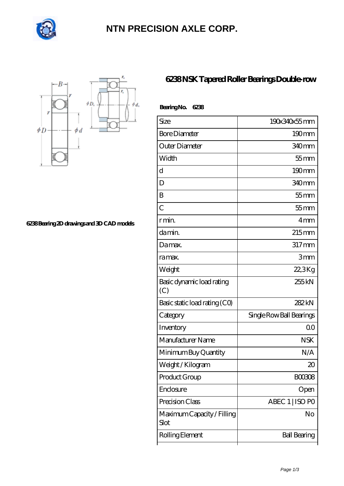

## **[NTN PRECISION AXLE CORP.](https://101dir.com)**



**[6238 Bearing 2D drawings and 3D CAD models](https://101dir.com/pic-646537.html)**

## **[6238 NSK Tapered Roller Bearings Double-row](https://101dir.com/sell-646537-6238-nsk-tapered-roller-bearings-double-row.html)**

| BearingNo.<br>6238                 |                          |
|------------------------------------|--------------------------|
| Size                               | 190x340x55mm             |
| <b>Bore Diameter</b>               | $190 \text{mm}$          |
| Outer Diameter                     | 340mm                    |
| Width                              | $55$ mm                  |
| d                                  | 190mm                    |
| D                                  | 340mm                    |
| B                                  | $55$ mm                  |
| $\overline{C}$                     | $55$ mm                  |
| r min.                             | 4mm                      |
| da min.                            | $215 \text{mm}$          |
| Da max.                            | $317$ mm                 |
| ra max.                            | 3mm                      |
| Weight                             | $22.3$ Kg                |
| Basic dynamic load rating<br>(C)   | 255kN                    |
| Basic static load rating (CO)      | 282kN                    |
| Category                           | Single Row Ball Bearings |
| Inventory                          | 0 <sup>0</sup>           |
| Manufacturer Name                  | <b>NSK</b>               |
| Minimum Buy Quantity               | N/A                      |
| Weight / Kilogram                  | $\infty$                 |
| Product Group                      | <b>BOO3O8</b>            |
| Enclosure                          | Open                     |
| Precision Class                    | ABEC 1   ISO PO          |
| Maximum Capacity / Filling<br>Slot | No                       |
| Rolling Element                    | <b>Ball Bearing</b>      |
|                                    |                          |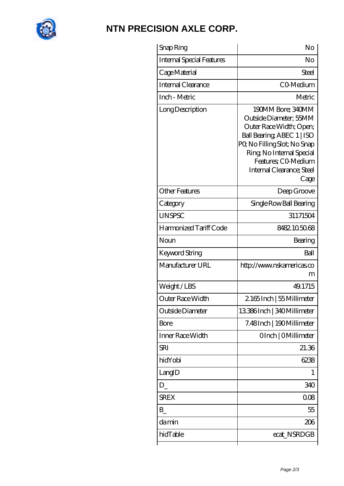

## **[NTN PRECISION AXLE CORP.](https://101dir.com)**

| Snap Ring                        | No                                                                                                                                                                                                                           |
|----------------------------------|------------------------------------------------------------------------------------------------------------------------------------------------------------------------------------------------------------------------------|
| <b>Internal Special Features</b> | No                                                                                                                                                                                                                           |
| Cage Material                    | Steel                                                                                                                                                                                                                        |
| Internal Clearance               | CO-Medium                                                                                                                                                                                                                    |
| Inch - Metric                    | Metric                                                                                                                                                                                                                       |
| Long Description                 | 190MM Bore; 340MM<br>Outside Diameter; 55MM<br>Outer Race Width; Open;<br>Ball Bearing, ABEC 1   ISO<br>PQ No Filling Slot; No Snap<br>Ring, No Internal Special<br>Features; CO-Medium<br>Internal Clearance; Steel<br>Cage |
| <b>Other Features</b>            | Deep Groove                                                                                                                                                                                                                  |
| Category                         | Single Row Ball Bearing                                                                                                                                                                                                      |
| <b>UNSPSC</b>                    | 31171504                                                                                                                                                                                                                     |
| Harmonized Tariff Code           | 8482.105068                                                                                                                                                                                                                  |
| Noun                             | Bearing                                                                                                                                                                                                                      |
| Keyword String                   | Ball                                                                                                                                                                                                                         |
| Manufacturer URL                 | http://www.nskamericas.co<br>m                                                                                                                                                                                               |
| Weight/LBS                       | 49.1715                                                                                                                                                                                                                      |
| Outer Race Width                 | 2165Inch   55 Millimeter                                                                                                                                                                                                     |
| Outside Diameter                 | 13386Inch   340Millimeter                                                                                                                                                                                                    |
| Bore                             | 7.48Inch   190Millimeter                                                                                                                                                                                                     |
| Inner Race Width                 | OInch   OMillimeter                                                                                                                                                                                                          |
| SRI                              | 21.36                                                                                                                                                                                                                        |
| hidYobi                          | 6238                                                                                                                                                                                                                         |
| LangID                           | L                                                                                                                                                                                                                            |
| $D_{-}$                          | 340                                                                                                                                                                                                                          |
| <b>SREX</b>                      | 008                                                                                                                                                                                                                          |
| B                                | 55                                                                                                                                                                                                                           |
| damin                            | 206                                                                                                                                                                                                                          |
| hidTable                         | ecat_NSRDGB                                                                                                                                                                                                                  |
|                                  |                                                                                                                                                                                                                              |